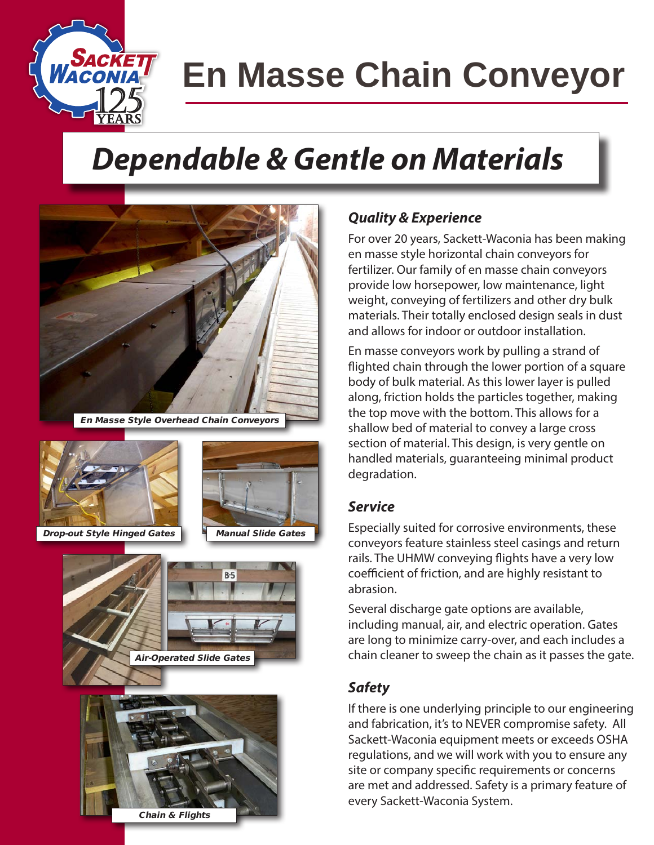

# **En Masse Chain Conveyor**

## *Dependable & Gentle on Materials*



En Masse Style Overhead Chain Conveyors



Drop-out Style Hinged Gates | Manual Slide Gates





#### *Quality & Experience*

For over 20 years, Sackett-Waconia has been making en masse style horizontal chain conveyors for fertilizer. Our family of en masse chain conveyors provide low horsepower, low maintenance, light weight, conveying of fertilizers and other dry bulk materials. Their totally enclosed design seals in dust and allows for indoor or outdoor installation.

En masse conveyors work by pulling a strand of flighted chain through the lower portion of a square body of bulk material. As this lower layer is pulled along, friction holds the particles together, making the top move with the bottom. This allows for a shallow bed of material to convey a large cross section of material. This design, is very gentle on handled materials, guaranteeing minimal product degradation.

#### *Service*

Especially suited for corrosive environments, these conveyors feature stainless steel casings and return rails. The UHMW conveying flights have a very low coefficient of friction, and are highly resistant to abrasion.

Several discharge gate options are available, including manual, air, and electric operation. Gates are long to minimize carry-over, and each includes a chain cleaner to sweep the chain as it passes the gate.

#### *Safety*

If there is one underlying principle to our engineering and fabrication, it's to NEVER compromise safety. All Sackett-Waconia equipment meets or exceeds OSHA regulations, and we will work with you to ensure any site or company specific requirements or concerns are met and addressed. Safety is a primary feature of every Sackett-Waconia System.

Chain & Flights